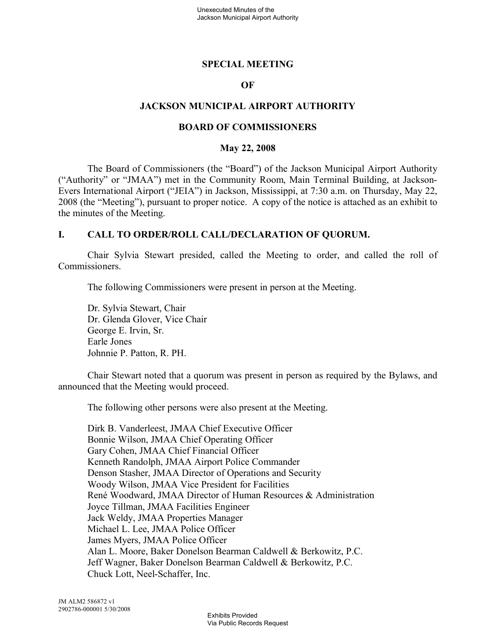### **SPECIAL MEETING**

#### **OF**

### **JACKSON MUNICIPAL AIRPORT AUTHORITY**

#### **BOARD OF COMMISSIONERS**

#### **May 22, 2008**

The Board of Commissioners (the "Board") of the Jackson Municipal Airport Authority ("Authority" or "JMAA") met in the Community Room, Main Terminal Building, at Jackson-Evers International Airport ("JEIA") in Jackson, Mississippi, at 7:30 a.m. on Thursday, May 22, 2008 (the "Meeting"), pursuant to proper notice. A copy of the notice is attached as an exhibit to the minutes of the Meeting.

#### **I. CALL TO ORDER/ROLL CALL/DECLARATION OF QUORUM.**

Chair Sylvia Stewart presided, called the Meeting to order, and called the roll of Commissioners.

The following Commissioners were present in person at the Meeting.

Dr. Sylvia Stewart, Chair Dr. Glenda Glover, Vice Chair George E. Irvin, Sr. Earle Jones Johnnie P. Patton, R. PH.

Chair Stewart noted that a quorum was present in person as required by the Bylaws, and announced that the Meeting would proceed.

The following other persons were also present at the Meeting.

Dirk B. Vanderleest, JMAA Chief Executive Officer Bonnie Wilson, JMAA Chief Operating Officer Gary Cohen, JMAA Chief Financial Officer Kenneth Randolph, JMAA Airport Police Commander Denson Stasher, JMAA Director of Operations and Security Woody Wilson, JMAA Vice President for Facilities René Woodward, JMAA Director of Human Resources & Administration Joyce Tillman, JMAA Facilities Engineer Jack Weldy, JMAA Properties Manager Michael L. Lee, JMAA Police Officer James Myers, JMAA Police Officer Alan L. Moore, Baker Donelson Bearman Caldwell & Berkowitz, P.C. Jeff Wagner, Baker Donelson Bearman Caldwell & Berkowitz, P.C. Chuck Lott, Neel-Schaffer, Inc.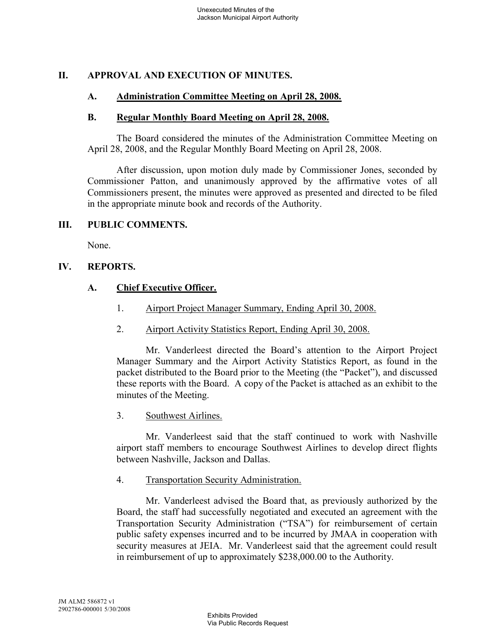## **II. APPROVAL AND EXECUTION OF MINUTES.**

### **A. Administration Committee Meeting on April 28, 2008.**

#### **B. Regular Monthly Board Meeting on April 28, 2008.**

The Board considered the minutes of the Administration Committee Meeting on April 28, 2008, and the Regular Monthly Board Meeting on April 28, 2008.

After discussion, upon motion duly made by Commissioner Jones, seconded by Commissioner Patton, and unanimously approved by the affirmative votes of all Commissioners present, the minutes were approved as presented and directed to be filed in the appropriate minute book and records of the Authority.

### **III. PUBLIC COMMENTS.**

None.

### **IV. REPORTS.**

### **A. Chief Executive Officer.**

- 1. Airport Project Manager Summary, Ending April 30, 2008.
- 2. Airport Activity Statistics Report, Ending April 30, 2008.

Mr. Vanderleest directed the Board's attention to the Airport Project Manager Summary and the Airport Activity Statistics Report, as found in the packet distributed to the Board prior to the Meeting (the "Packet"), and discussed these reports with the Board. A copy of the Packet is attached as an exhibit to the minutes of the Meeting.

3. Southwest Airlines.

Mr. Vanderleest said that the staff continued to work with Nashville airport staff members to encourage Southwest Airlines to develop direct flights between Nashville, Jackson and Dallas.

4. Transportation Security Administration.

Mr. Vanderleest advised the Board that, as previously authorized by the Board, the staff had successfully negotiated and executed an agreement with the Transportation Security Administration ("TSA") for reimbursement of certain public safety expenses incurred and to be incurred by JMAA in cooperation with security measures at JEIA. Mr. Vanderleest said that the agreement could result in reimbursement of up to approximately \$238,000.00 to the Authority.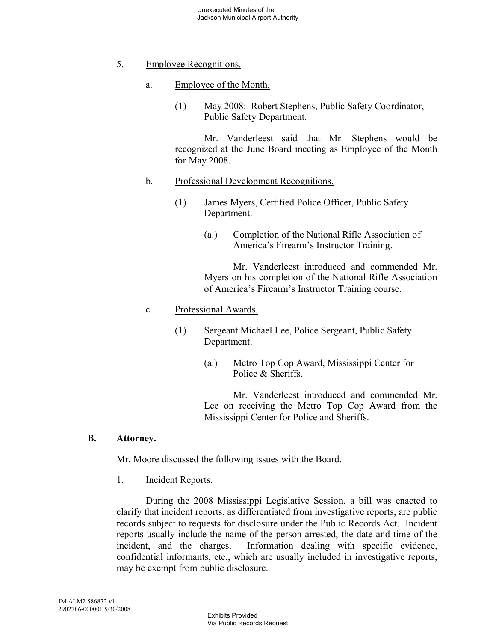- 5. Employee Recognitions.
	- a. Employee of the Month.
		- (1) May 2008: Robert Stephens, Public Safety Coordinator, Public Safety Department.

Mr. Vanderleest said that Mr. Stephens would be recognized at the June Board meeting as Employee of the Month for May 2008.

- b. Professional Development Recognitions.
	- (1) James Myers, Certified Police Officer, Public Safety Department.
		- (a.) Completion of the National Rifle Association of America's Firearm's Instructor Training.

Mr. Vanderleest introduced and commended Mr. Myers on his completion of the National Rifle Association of America's Firearm's Instructor Training course.

### c. Professional Awards.

- (1) Sergeant Michael Lee, Police Sergeant, Public Safety Department.
	- (a.) Metro Top Cop Award, Mississippi Center for Police & Sheriffs.

Mr. Vanderleest introduced and commended Mr. Lee on receiving the Metro Top Cop Award from the Mississippi Center for Police and Sheriffs.

#### **B. Attorney.**

Mr. Moore discussed the following issues with the Board.

1. Incident Reports.

During the 2008 Mississippi Legislative Session, a bill was enacted to clarify that incident reports, as differentiated from investigative reports, are public records subject to requests for disclosure under the Public Records Act. Incident reports usually include the name of the person arrested, the date and time of the incident, and the charges. Information dealing with specific evidence, confidential informants, etc., which are usually included in investigative reports, may be exempt from public disclosure.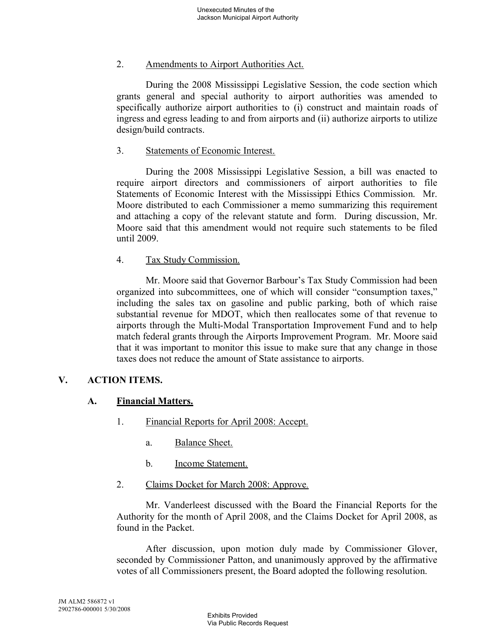### 2. Amendments to Airport Authorities Act.

During the 2008 Mississippi Legislative Session, the code section which grants general and special authority to airport authorities was amended to specifically authorize airport authorities to (i) construct and maintain roads of ingress and egress leading to and from airports and (ii) authorize airports to utilize design/build contracts.

### 3. Statements of Economic Interest.

During the 2008 Mississippi Legislative Session, a bill was enacted to require airport directors and commissioners of airport authorities to file Statements of Economic Interest with the Mississippi Ethics Commission. Mr. Moore distributed to each Commissioner a memo summarizing this requirement and attaching a copy of the relevant statute and form. During discussion, Mr. Moore said that this amendment would not require such statements to be filed until 2009.

## 4. Tax Study Commission.

Mr. Moore said that Governor Barbour's Tax Study Commission had been organized into subcommittees, one of which will consider "consumption taxes," including the sales tax on gasoline and public parking, both of which raise substantial revenue for MDOT, which then reallocates some of that revenue to airports through the Multi-Modal Transportation Improvement Fund and to help match federal grants through the Airports Improvement Program. Mr. Moore said that it was important to monitor this issue to make sure that any change in those taxes does not reduce the amount of State assistance to airports.

## **V. ACTION ITEMS.**

## **A. Financial Matters.**

- 1. Financial Reports for April 2008: Accept.
	- a. Balance Sheet.
	- b. Income Statement.
- 2. Claims Docket for March 2008: Approve.

Mr. Vanderleest discussed with the Board the Financial Reports for the Authority for the month of April 2008, and the Claims Docket for April 2008, as found in the Packet.

After discussion, upon motion duly made by Commissioner Glover, seconded by Commissioner Patton, and unanimously approved by the affirmative votes of all Commissioners present, the Board adopted the following resolution.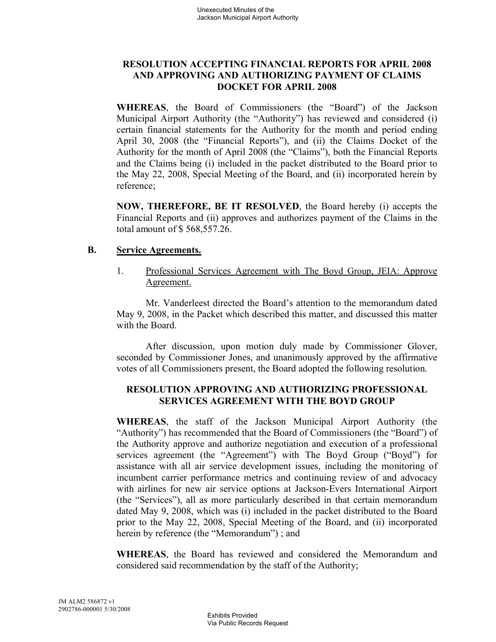## **RESOLUTION ACCEPTING FINANCIAL REPORTS FOR APRIL 2008 AND APPROVING AND AUTHORIZING PAYMENT OF CLAIMS DOCKET FOR APRIL 2008**

**WHEREAS**, the Board of Commissioners (the "Board") of the Jackson Municipal Airport Authority (the "Authority") has reviewed and considered (i) certain financial statements for the Authority for the month and period ending April 30, 2008 (the "Financial Reports"), and (ii) the Claims Docket of the Authority for the month of April 2008 (the "Claims"), both the Financial Reports and the Claims being (i) included in the packet distributed to the Board prior to the May 22, 2008, Special Meeting of the Board, and (ii) incorporated herein by reference;

**NOW, THEREFORE, BE IT RESOLVED**, the Board hereby (i) accepts the Financial Reports and (ii) approves and authorizes payment of the Claims in the total amount of \$ 568,557.26.

#### **B. Service Agreements.**

1. Professional Services Agreement with The Boyd Group, JEIA: Approve Agreement.

Mr. Vanderleest directed the Board's attention to the memorandum dated May 9, 2008, in the Packet which described this matter, and discussed this matter with the Board.

After discussion, upon motion duly made by Commissioner Glover, seconded by Commissioner Jones, and unanimously approved by the affirmative votes of all Commissioners present, the Board adopted the following resolution.

## **RESOLUTION APPROVING AND AUTHORIZING PROFESSIONAL SERVICES AGREEMENT WITH THE BOYD GROUP**

**WHEREAS**, the staff of the Jackson Municipal Airport Authority (the "Authority") has recommended that the Board of Commissioners (the "Board") of the Authority approve and authorize negotiation and execution of a professional services agreement (the "Agreement") with The Boyd Group ("Boyd") for assistance with all air service development issues, including the monitoring of incumbent carrier performance metrics and continuing review of and advocacy with airlines for new air service options at Jackson-Evers International Airport (the "Services"), all as more particularly described in that certain memorandum dated May 9, 2008, which was (i) included in the packet distributed to the Board prior to the May 22, 2008, Special Meeting of the Board, and (ii) incorporated herein by reference (the "Memorandum") ; and

**WHEREAS**, the Board has reviewed and considered the Memorandum and considered said recommendation by the staff of the Authority;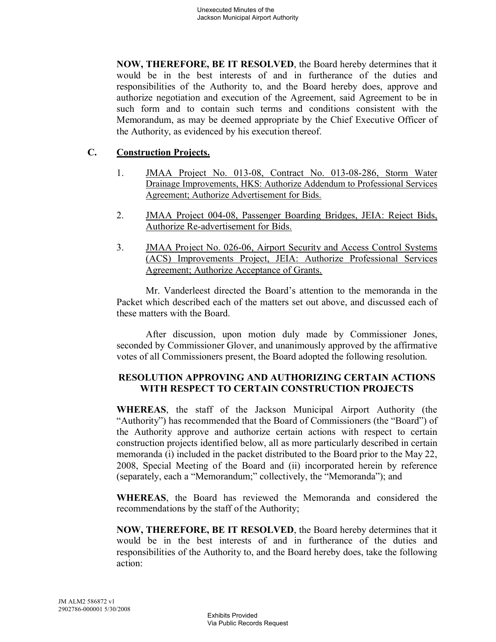**NOW, THEREFORE, BE IT RESOLVED**, the Board hereby determines that it would be in the best interests of and in furtherance of the duties and responsibilities of the Authority to, and the Board hereby does, approve and authorize negotiation and execution of the Agreement, said Agreement to be in such form and to contain such terms and conditions consistent with the Memorandum, as may be deemed appropriate by the Chief Executive Officer of the Authority, as evidenced by his execution thereof.

## **C. Construction Projects.**

- 1. JMAA Project No. 013-08, Contract No. 013-08-286, Storm Water Drainage Improvements, HKS: Authorize Addendum to Professional Services Agreement; Authorize Advertisement for Bids.
- 2. JMAA Project 004-08, Passenger Boarding Bridges, JEIA: Reject Bids, Authorize Re-advertisement for Bids.
- 3. JMAA Project No. 026-06, Airport Security and Access Control Systems (ACS) Improvements Project, JEIA: Authorize Professional Services Agreement; Authorize Acceptance of Grants.

Mr. Vanderleest directed the Board's attention to the memoranda in the Packet which described each of the matters set out above, and discussed each of these matters with the Board.

After discussion, upon motion duly made by Commissioner Jones, seconded by Commissioner Glover, and unanimously approved by the affirmative votes of all Commissioners present, the Board adopted the following resolution.

# **RESOLUTION APPROVING AND AUTHORIZING CERTAIN ACTIONS WITH RESPECT TO CERTAIN CONSTRUCTION PROJECTS**

**WHEREAS**, the staff of the Jackson Municipal Airport Authority (the "Authority") has recommended that the Board of Commissioners (the "Board") of the Authority approve and authorize certain actions with respect to certain construction projects identified below, all as more particularly described in certain memoranda (i) included in the packet distributed to the Board prior to the May 22, 2008, Special Meeting of the Board and (ii) incorporated herein by reference (separately, each a "Memorandum;" collectively, the "Memoranda"); and

**WHEREAS**, the Board has reviewed the Memoranda and considered the recommendations by the staff of the Authority;

**NOW, THEREFORE, BE IT RESOLVED**, the Board hereby determines that it would be in the best interests of and in furtherance of the duties and responsibilities of the Authority to, and the Board hereby does, take the following action: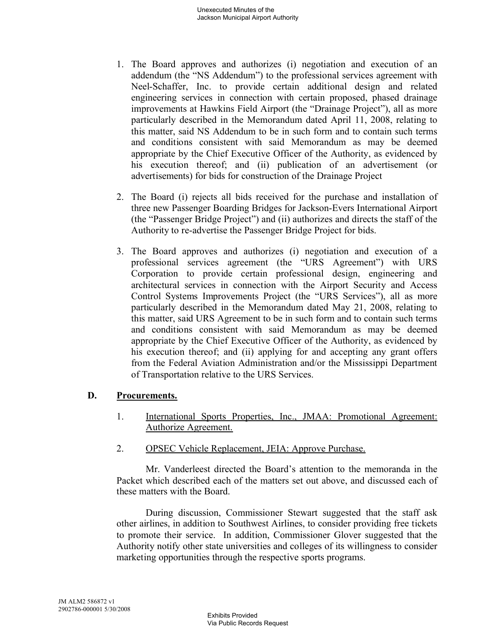- 1. The Board approves and authorizes (i) negotiation and execution of an addendum (the "NS Addendum") to the professional services agreement with Neel-Schaffer, Inc. to provide certain additional design and related engineering services in connection with certain proposed, phased drainage improvements at Hawkins Field Airport (the "Drainage Project"), all as more particularly described in the Memorandum dated April 11, 2008, relating to this matter, said NS Addendum to be in such form and to contain such terms and conditions consistent with said Memorandum as may be deemed appropriate by the Chief Executive Officer of the Authority, as evidenced by his execution thereof; and (ii) publication of an advertisement (or advertisements) for bids for construction of the Drainage Project
- 2. The Board (i) rejects all bids received for the purchase and installation of three new Passenger Boarding Bridges for Jackson-Evers International Airport (the "Passenger Bridge Project") and (ii) authorizes and directs the staff of the Authority to re-advertise the Passenger Bridge Project for bids.
- 3. The Board approves and authorizes (i) negotiation and execution of a professional services agreement (the "URS Agreement") with URS Corporation to provide certain professional design, engineering and architectural services in connection with the Airport Security and Access Control Systems Improvements Project (the "URS Services"), all as more particularly described in the Memorandum dated May 21, 2008, relating to this matter, said URS Agreement to be in such form and to contain such terms and conditions consistent with said Memorandum as may be deemed appropriate by the Chief Executive Officer of the Authority, as evidenced by his execution thereof; and (ii) applying for and accepting any grant offers from the Federal Aviation Administration and/or the Mississippi Department of Transportation relative to the URS Services.

## **D. Procurements.**

- 1. International Sports Properties, Inc., JMAA: Promotional Agreement: Authorize Agreement.
- 2. OPSEC Vehicle Replacement, JEIA: Approve Purchase.

Mr. Vanderleest directed the Board's attention to the memoranda in the Packet which described each of the matters set out above, and discussed each of these matters with the Board.

During discussion, Commissioner Stewart suggested that the staff ask other airlines, in addition to Southwest Airlines, to consider providing free tickets to promote their service. In addition, Commissioner Glover suggested that the Authority notify other state universities and colleges of its willingness to consider marketing opportunities through the respective sports programs.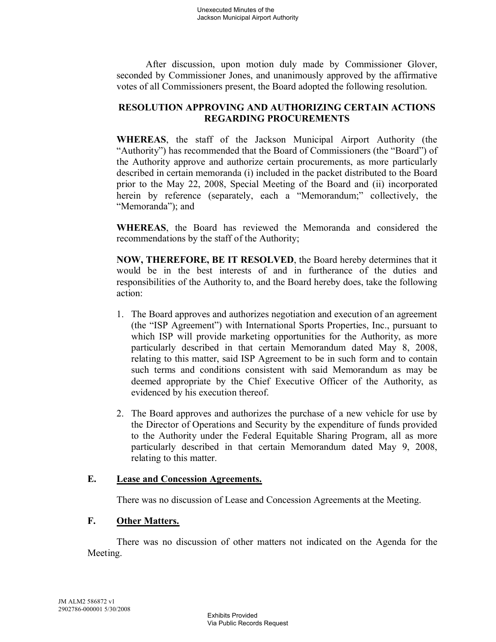After discussion, upon motion duly made by Commissioner Glover, seconded by Commissioner Jones, and unanimously approved by the affirmative votes of all Commissioners present, the Board adopted the following resolution.

# **RESOLUTION APPROVING AND AUTHORIZING CERTAIN ACTIONS REGARDING PROCUREMENTS**

**WHEREAS**, the staff of the Jackson Municipal Airport Authority (the "Authority") has recommended that the Board of Commissioners (the "Board") of the Authority approve and authorize certain procurements, as more particularly described in certain memoranda (i) included in the packet distributed to the Board prior to the May 22, 2008, Special Meeting of the Board and (ii) incorporated herein by reference (separately, each a "Memorandum;" collectively, the "Memoranda"); and

**WHEREAS**, the Board has reviewed the Memoranda and considered the recommendations by the staff of the Authority;

**NOW, THEREFORE, BE IT RESOLVED**, the Board hereby determines that it would be in the best interests of and in furtherance of the duties and responsibilities of the Authority to, and the Board hereby does, take the following action:

- 1. The Board approves and authorizes negotiation and execution of an agreement (the "ISP Agreement") with International Sports Properties, Inc., pursuant to which ISP will provide marketing opportunities for the Authority, as more particularly described in that certain Memorandum dated May 8, 2008, relating to this matter, said ISP Agreement to be in such form and to contain such terms and conditions consistent with said Memorandum as may be deemed appropriate by the Chief Executive Officer of the Authority, as evidenced by his execution thereof.
- 2. The Board approves and authorizes the purchase of a new vehicle for use by the Director of Operations and Security by the expenditure of funds provided to the Authority under the Federal Equitable Sharing Program, all as more particularly described in that certain Memorandum dated May 9, 2008, relating to this matter.

## **E. Lease and Concession Agreements.**

There was no discussion of Lease and Concession Agreements at the Meeting.

## **F. Other Matters.**

There was no discussion of other matters not indicated on the Agenda for the Meeting.